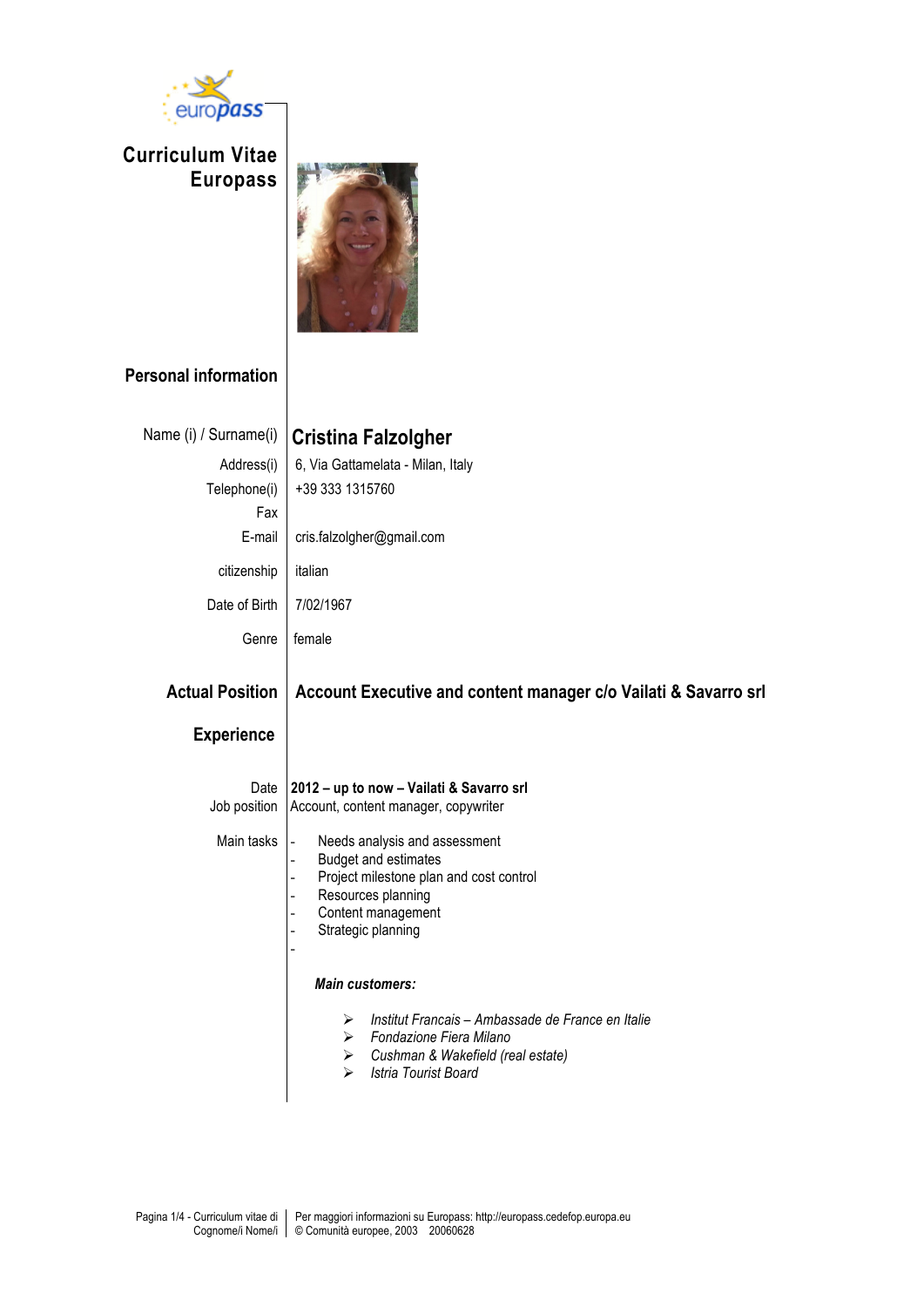

**Curriculum Vitae Europass**



## **Personal information**

| Name (i) / Surname(i)                       | <b>Cristina Falzolgher</b>                                                                                                                                                                                                                                                                                                                                                                 |
|---------------------------------------------|--------------------------------------------------------------------------------------------------------------------------------------------------------------------------------------------------------------------------------------------------------------------------------------------------------------------------------------------------------------------------------------------|
| Address(i)<br>Telephone(i)<br>Fax           | 6, Via Gattamelata - Milan, Italy<br>+39 333 1315760                                                                                                                                                                                                                                                                                                                                       |
| E-mail                                      | cris.falzolgher@gmail.com                                                                                                                                                                                                                                                                                                                                                                  |
| citizenship                                 | italian                                                                                                                                                                                                                                                                                                                                                                                    |
| Date of Birth                               | 7/02/1967                                                                                                                                                                                                                                                                                                                                                                                  |
| Genre                                       | female                                                                                                                                                                                                                                                                                                                                                                                     |
| <b>Actual Position</b><br><b>Experience</b> | Account Executive and content manager c/o Vailati & Savarro srl                                                                                                                                                                                                                                                                                                                            |
| Date<br>Job position<br>Main tasks          | 2012 - up to now - Vailati & Savarro srl<br>Account, content manager, copywriter<br>Needs analysis and assessment<br>$\frac{1}{2}$<br><b>Budget and estimates</b><br>$\overline{\phantom{0}}$<br>Project milestone plan and cost control<br>$\overline{a}$<br>Resources planning<br>$\overline{\phantom{0}}$<br>Content management<br>÷,<br>Strategic planning<br>$\overline{\phantom{0}}$ |
|                                             | <b>Main customers:</b><br>Institut Francais - Ambassade de France en Italie<br>⋗<br>Fondazione Fiera Milano<br>➤<br>Cushman & Wakefield (real estate)<br>$\blacktriangleright$<br>Istria Tourist Board<br>⋗                                                                                                                                                                                |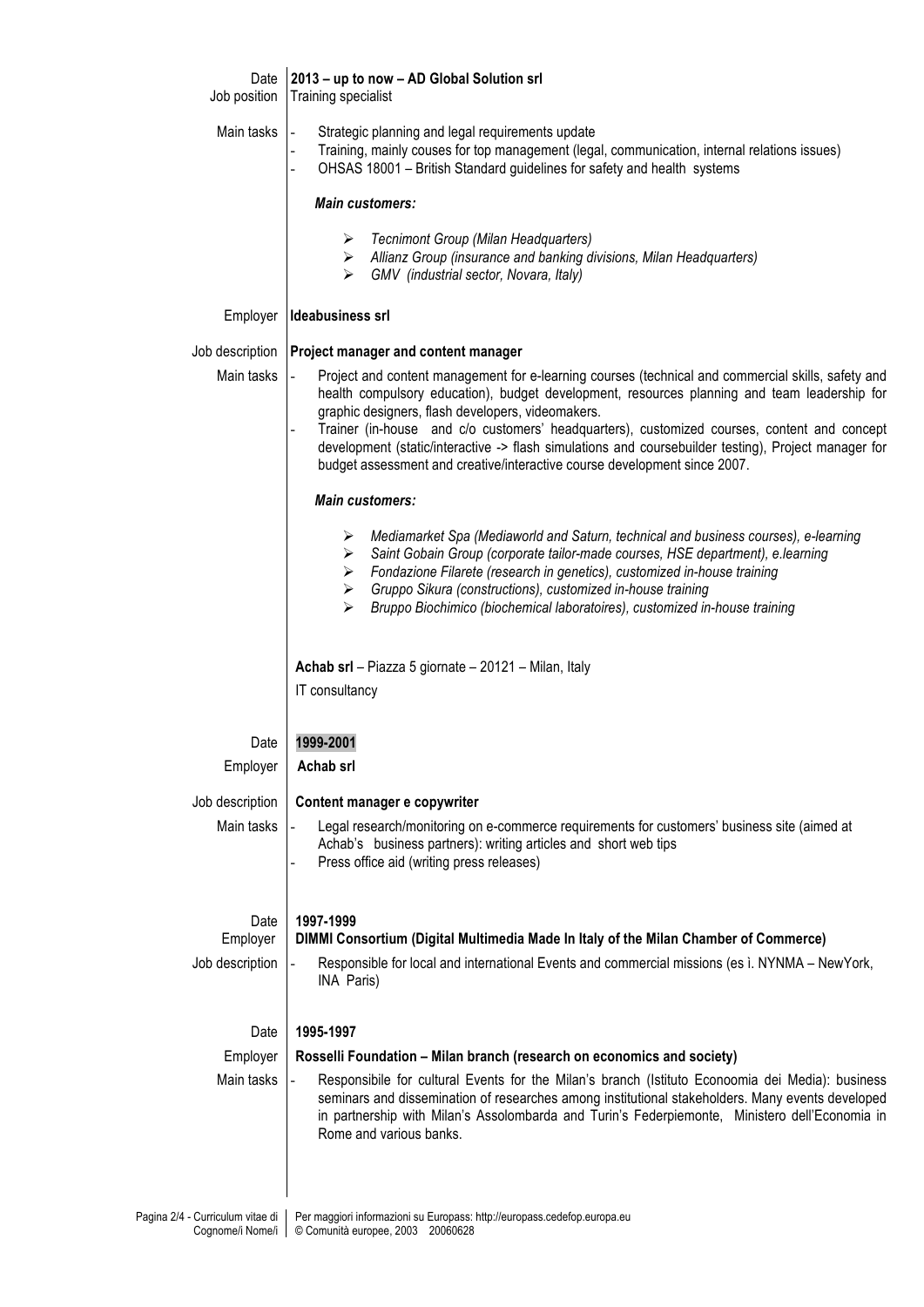| Date<br>Job position | 2013 - up to now - AD Global Solution srl<br>Training specialist                                                                                                                                                                                                                                                                                                                                                                                                                                                                                              |
|----------------------|---------------------------------------------------------------------------------------------------------------------------------------------------------------------------------------------------------------------------------------------------------------------------------------------------------------------------------------------------------------------------------------------------------------------------------------------------------------------------------------------------------------------------------------------------------------|
| Main tasks           | Strategic planning and legal requirements update<br>Training, mainly couses for top management (legal, communication, internal relations issues)<br>OHSAS 18001 - British Standard guidelines for safety and health systems                                                                                                                                                                                                                                                                                                                                   |
|                      | <b>Main customers:</b>                                                                                                                                                                                                                                                                                                                                                                                                                                                                                                                                        |
|                      | Tecnimont Group (Milan Headquarters)<br>➤<br>> Allianz Group (insurance and banking divisions, Milan Headquarters)<br>GMV (industrial sector, Novara, Italy)<br>⋗                                                                                                                                                                                                                                                                                                                                                                                             |
| Employer             | Ideabusiness srl                                                                                                                                                                                                                                                                                                                                                                                                                                                                                                                                              |
|                      | Job description   Project manager and content manager                                                                                                                                                                                                                                                                                                                                                                                                                                                                                                         |
| Main tasks           | Project and content management for e-learning courses (technical and commercial skills, safety and<br>$\blacksquare$<br>health compulsory education), budget development, resources planning and team leadership for<br>graphic designers, flash developers, videomakers.<br>Trainer (in-house and c/o customers' headquarters), customized courses, content and concept<br>development (static/interactive -> flash simulations and coursebuilder testing), Project manager for<br>budget assessment and creative/interactive course development since 2007. |
|                      | <b>Main customers:</b>                                                                                                                                                                                                                                                                                                                                                                                                                                                                                                                                        |
|                      | Mediamarket Spa (Mediaworld and Saturn, technical and business courses), e-learning<br>➤<br>Saint Gobain Group (corporate tailor-made courses, HSE department), e.learning<br>➤<br>Fondazione Filarete (research in genetics), customized in-house training<br>➤<br>Gruppo Sikura (constructions), customized in-house training<br>➤<br>Bruppo Biochimico (biochemical laboratoires), customized in-house training<br>⋗                                                                                                                                       |
|                      | Achab srl - Piazza 5 giornate - 20121 - Milan, Italy                                                                                                                                                                                                                                                                                                                                                                                                                                                                                                          |
|                      | IT consultancy                                                                                                                                                                                                                                                                                                                                                                                                                                                                                                                                                |
| Date                 | 1999-2001                                                                                                                                                                                                                                                                                                                                                                                                                                                                                                                                                     |
| Employer             | Achab srl                                                                                                                                                                                                                                                                                                                                                                                                                                                                                                                                                     |
| Job description      | Content manager e copywriter                                                                                                                                                                                                                                                                                                                                                                                                                                                                                                                                  |
| Main tasks           | Legal research/monitoring on e-commerce requirements for customers' business site (aimed at<br>Achab's business partners): writing articles and short web tips<br>Press office aid (writing press releases)                                                                                                                                                                                                                                                                                                                                                   |
| Date                 | 1997-1999                                                                                                                                                                                                                                                                                                                                                                                                                                                                                                                                                     |
| Employer             | DIMMI Consortium (Digital Multimedia Made In Italy of the Milan Chamber of Commerce)                                                                                                                                                                                                                                                                                                                                                                                                                                                                          |
| Job description      | Responsible for local and international Events and commercial missions (es ì. NYNMA - NewYork,<br>INA Paris)                                                                                                                                                                                                                                                                                                                                                                                                                                                  |
| Date                 | 1995-1997                                                                                                                                                                                                                                                                                                                                                                                                                                                                                                                                                     |
| Employer             | Rosselli Foundation - Milan branch (research on economics and society)                                                                                                                                                                                                                                                                                                                                                                                                                                                                                        |
| Main tasks           | Responsibile for cultural Events for the Milan's branch (Istituto Econoomia dei Media): business<br>seminars and dissemination of researches among institutional stakeholders. Many events developed<br>in partnership with Milan's Assolombarda and Turin's Federpiemonte, Ministero dell'Economia in<br>Rome and various banks.                                                                                                                                                                                                                             |
|                      |                                                                                                                                                                                                                                                                                                                                                                                                                                                                                                                                                               |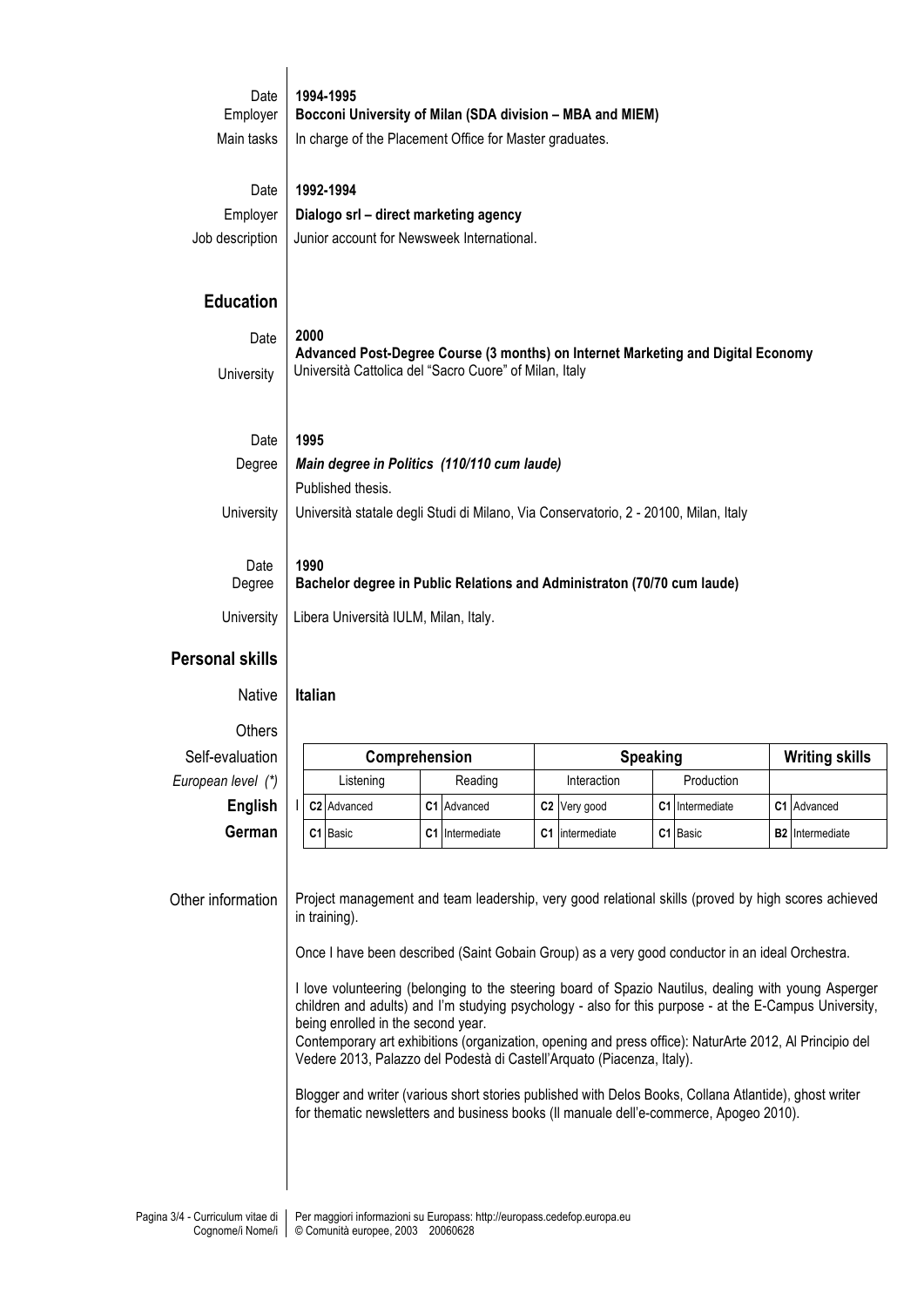| Date                   | 1994-1995                                                                                                                                          |                 |                          |                 |                        |  |  |  |
|------------------------|----------------------------------------------------------------------------------------------------------------------------------------------------|-----------------|--------------------------|-----------------|------------------------|--|--|--|
| Employer               | Bocconi University of Milan (SDA division - MBA and MIEM)                                                                                          |                 |                          |                 |                        |  |  |  |
| Main tasks             | In charge of the Placement Office for Master graduates.                                                                                            |                 |                          |                 |                        |  |  |  |
| Date                   | 1992-1994                                                                                                                                          |                 |                          |                 |                        |  |  |  |
| Employer               | Dialogo srl - direct marketing agency                                                                                                              |                 |                          |                 |                        |  |  |  |
| Job description        | Junior account for Newsweek International.                                                                                                         |                 |                          |                 |                        |  |  |  |
| <b>Education</b>       |                                                                                                                                                    |                 |                          |                 |                        |  |  |  |
| Date                   | 2000<br>Advanced Post-Degree Course (3 months) on Internet Marketing and Digital Economy<br>Università Cattolica del "Sacro Cuore" of Milan, Italy |                 |                          |                 |                        |  |  |  |
| University             |                                                                                                                                                    |                 |                          |                 |                        |  |  |  |
| Date                   | 1995                                                                                                                                               |                 |                          |                 |                        |  |  |  |
| Degree                 | Main degree in Politics (110/110 cum laude)                                                                                                        |                 |                          |                 |                        |  |  |  |
|                        | Published thesis.                                                                                                                                  |                 |                          |                 |                        |  |  |  |
| University             | Università statale degli Studi di Milano, Via Conservatorio, 2 - 20100, Milan, Italy                                                               |                 |                          |                 |                        |  |  |  |
|                        |                                                                                                                                                    |                 |                          |                 |                        |  |  |  |
| Date                   | 1990                                                                                                                                               |                 |                          |                 |                        |  |  |  |
| Degree                 | Bachelor degree in Public Relations and Administraton (70/70 cum laude)                                                                            |                 |                          |                 |                        |  |  |  |
| University             | Libera Università IULM, Milan, Italy.                                                                                                              |                 |                          |                 |                        |  |  |  |
| <b>Personal skills</b> |                                                                                                                                                    |                 |                          |                 |                        |  |  |  |
|                        | Native Italian                                                                                                                                     |                 |                          |                 |                        |  |  |  |
| Others                 |                                                                                                                                                    |                 |                          |                 |                        |  |  |  |
| Self-evaluation        |                                                                                                                                                    | Comprehension   |                          | <b>Speaking</b> | <b>Writing skills</b>  |  |  |  |
| European level (*)     | Listening                                                                                                                                          | Reading         | Interaction              | Production      |                        |  |  |  |
| English                | C2 Advanced                                                                                                                                        | C1 Advanced     | C <sub>2</sub> Very good | C1 Intermediate | C1 Advanced            |  |  |  |
|                        |                                                                                                                                                    | C1 Intermediate | C1 intermediate          |                 | <b>B2</b> Intermediate |  |  |  |
| German                 | C1 Basic                                                                                                                                           |                 |                          | C1 Basic        |                        |  |  |  |

Other information Project management and team leadership, very good relational skills (proved by high scores achieved in training).

Once I have been described (Saint Gobain Group) as a very good conductor in an ideal Orchestra.

I love volunteering (belonging to the steering board of Spazio Nautilus, dealing with young Asperger children and adults) and I'm studying psychology - also for this purpose - at the E-Campus University, being enrolled in the second year.

Contemporary art exhibitions (organization, opening and press office): NaturArte 2012, Al Principio del Vedere 2013, Palazzo del Podestà di Castell'Arquato (Piacenza, Italy).

Blogger and writer (various short stories published with Delos Books, Collana Atlantide), ghost writer for thematic newsletters and business books (Il manuale dell'e-commerce, Apogeo 2010).